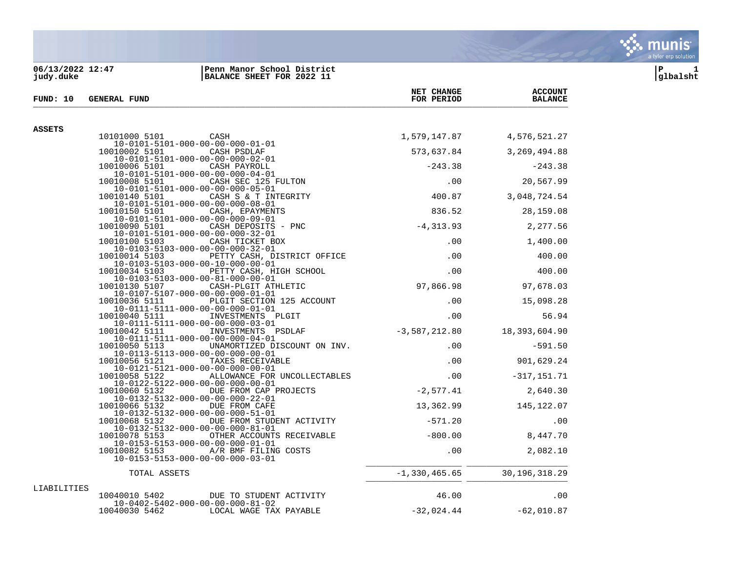## **06/13/2022 12:47 |Penn Manor School District |P 1 judy.duke |BALANCE SHEET FOR 2022 11 |glbalsht**

| FUND: 10    | <b>GENERAL FUND</b>                                                                                 | FOR PERIOD      | <b>BALANCE</b>  |
|-------------|-----------------------------------------------------------------------------------------------------|-----------------|-----------------|
|             |                                                                                                     |                 |                 |
| ASSETS      | 10101000 5101<br><b>CASH</b>                                                                        | 1,579,147.87    | 4,576,521.27    |
|             | $10 - 0101 - 5101 - 000 - 00 - 00 - 000 - 01 - 01$                                                  |                 |                 |
|             | 10010002 5101<br>CASH PSDLAF<br>$10 - 0101 - 5101 - 000 - 00 - 00 - 000 - 02 - 01$                  | 573,637.84      | 3, 269, 494.88  |
|             | CASH PAYROLL<br>10010006 5101                                                                       | $-243.38$       | $-243.38$       |
|             | $10 - 0101 - 5101 - 000 - 00 - 00 - 000 - 04 - 01$<br>10010008 5101<br>CASH SEC 125 FULTON          | .00             | 20,567.99       |
|             | 10-0101-5101-000-00-00-000-05-01                                                                    |                 |                 |
|             | 10010140 5101<br>CASH S & T INTEGRITY<br>10-0101-5101-000-00-00-000-08-01                           | 400.87          | 3,048,724.54    |
|             | 10010150 5101<br>CASH, EPAYMENTS<br>$10 - 0101 - 5101 - 000 - 00 - 00 - 000 - 09 - 01$              | 836.52          | 28,159.08       |
|             | 10010090 5101<br>CASH DEPOSITS - PNC                                                                | $-4, 313.93$    | 2,277.56        |
|             | $10 - 0101 - 5101 - 000 - 00 - 00 - 000 - 32 - 01$                                                  |                 |                 |
|             | CASH TICKET BOX<br>10010100 5103<br>10-0103-5103-000-00-00-000-32-01                                | .00             | 1,400.00        |
|             | PETTY CASH, DISTRICT OFFICE<br>10010014 5103                                                        | .00             | 400.00          |
|             | $10 - 0103 - 5103 - 000 - 00 - 10 - 000 - 00 - 01$<br>PETTY CASH, HIGH SCHOOL<br>10010034 5103      | .00             | 400.00          |
|             | $10 - 0103 - 5103 - 000 - 00 - 81 - 000 - 00 - 01$                                                  |                 |                 |
|             | 10010130 5107<br>CASH-PLGIT ATHLETIC<br>$10 - 0107 - 5107 - 000 - 00 - 00 - 000 - 01 - 01$          | 97,866.98       | 97,678.03       |
|             | PLGIT SECTION 125 ACCOUNT<br>10010036 5111                                                          | $.00 \,$        | 15,098.28       |
|             | $10 - 0111 - 5111 - 000 - 00 - 00 - 000 - 01 - 01$<br>INVESTMENTS PLGIT<br>10010040 5111            | .00             | 56.94           |
|             | $10 - 0111 - 5111 - 000 - 00 - 00 - 000 - 03 - 01$<br>10010042 5111<br>INVESTMENTS PSDLAF           | $-3,587,212.80$ | 18,393,604.90   |
|             | $10-0111-5111-000-00-00-000-04-01$                                                                  |                 |                 |
|             | 10010050 5113<br>UNAMORTIZED DISCOUNT ON INV.<br>$10 - 0113 - 5113 - 000 - 00 - 00 - 000 - 00 - 01$ | .00.            | $-591.50$       |
|             | 10010056 5121<br>TAXES RECEIVABLE                                                                   | .00             | 901,629.24      |
|             | $10 - 0121 - 5121 - 000 - 00 - 00 - 000 - 00 - 01$<br>ALLOWANCE FOR UNCOLLECTABLES<br>10010058 5122 | .00             | $-317, 151.71$  |
|             | $10 - 0122 - 5122 - 000 - 00 - 00 - 000 - 00 - 01$                                                  |                 |                 |
|             | 10010060 5132<br>DUE FROM CAP PROJECTS<br>10-0132-5132-000-00-00-000-22-01                          | $-2,577.41$     | 2,640.30        |
|             | 10010066 5132<br>DUE FROM CAFE<br>$10 - 0132 - 5132 - 000 - 00 - 00 - 000 - 51 - 01$                | 13,362.99       | 145,122.07      |
|             | 10010068 5132<br>DUE FROM STUDENT ACTIVITY                                                          | $-571.20$       | .00             |
|             | $10 - 0132 - 5132 - 000 - 00 - 00 - 000 - 81 - 01$<br>10010078 5153<br>OTHER ACCOUNTS RECEIVABLE    | $-800.00$       | 8,447.70        |
|             | $10 - 0153 - 5153 - 000 - 00 - 00 - 000 - 01 - 01$                                                  |                 |                 |
|             | 10010082 5153<br>A/R BMF FILING COSTS<br>$10 - 0153 - 5153 - 000 - 00 - 00 - 000 - 03 - 01$         | $.00 \,$        | 2,082.10        |
|             | TOTAL ASSETS                                                                                        | $-1,330,465.65$ | 30, 196, 318.29 |
| LIABILITIES |                                                                                                     |                 |                 |
|             | 10040010 5402<br>DUE TO STUDENT ACTIVITY<br>$10 - 0402 - 5402 - 000 - 00 - 00 - 000 - 81 - 02$      | 46.00           | .00             |
|             | 10040030 5462<br>LOCAL WAGE TAX PAYABLE                                                             | $-32,024.44$    | $-62,010.87$    |



**NET CHANGE ACCOUNT**